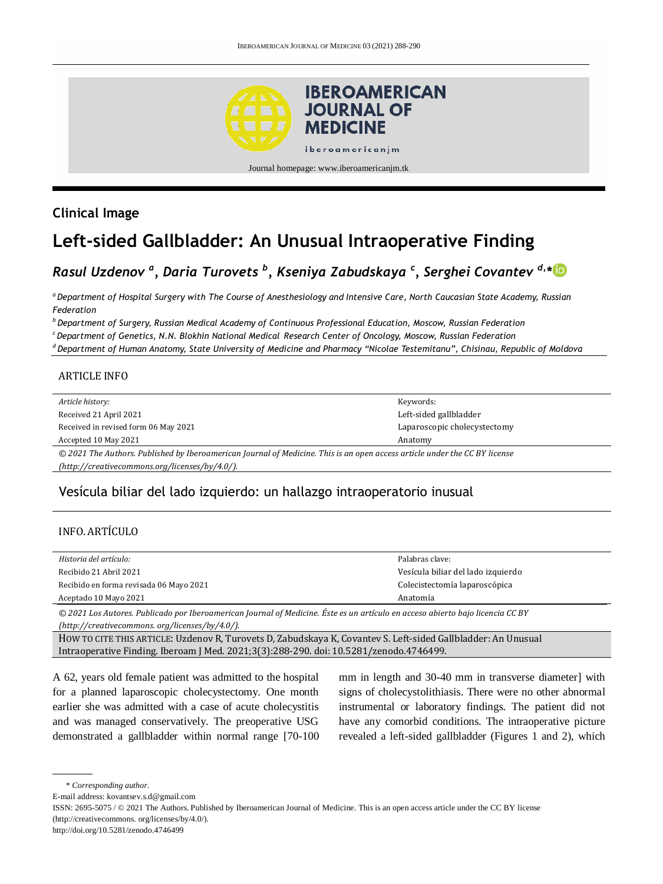

# **Clinical Image**

# **Left-sided Gallbladder: An Unusual Intraoperative Finding**

# *Rasul Uzdenov <sup>a</sup> , Daria Turovets <sup>b</sup> , Kseniya Zabudskaya <sup>c</sup> , Serghei Covantev d, \**

*<sup>a</sup> Department of Hospital Surgery with The Course of Anesthesiology and Intensive Care, North Caucasian State Academy, Russian Federation*

*<sup>b</sup>Department of Surgery, Russian Medical Academy of Continuous Professional Education, Moscow, Russian Federation*

*<sup>c</sup>Department of Genetics, N.N. Blokhin National Medical Research Center of Oncology, Moscow, Russian Federation*

*<sup>d</sup>Department of Human Anatomy, State University of Medicine and Pharmacy "Nicolae Testemitanu", Chisinau, Republic of Moldova*

#### ARTICLE INFO

| Article history:                                                                                                           | Keywords:                    |
|----------------------------------------------------------------------------------------------------------------------------|------------------------------|
| Received 21 April 2021                                                                                                     | Left-sided gallbladder       |
| Received in revised form 06 May 2021                                                                                       | Laparoscopic cholecystectomy |
| Accepted 10 May 2021                                                                                                       | Anatomy                      |
| © 2021 The Authors. Published by Iberoamerican Journal of Medicine. This is an open access article under the CC BY license |                              |
| $[http://creativecommons.org/licenses/by/4.0/">http://creativecommons.org/licenses/by/4.0/].$                              |                              |

## Vesícula biliar del lado izquierdo: un hallazgo intraoperatorio inusual

#### INFO. ARTÍCULO

| Historia del artículo:                  | Palabras clave:                    |
|-----------------------------------------|------------------------------------|
| Recibido 21 Abril 2021                  | Vesícula biliar del lado izquierdo |
| Recibido en forma revisada 06 Mayo 2021 | Colecistectomía laparoscópica      |
| Aceptado 10 Mayo 2021                   | Anatomía                           |
|                                         |                                    |

*© 2021 Los Autores. Publicado por Iberoamerican Journal of Medicine. Éste es un artículo en acceso abierto bajo licencia CC BY (http:/[/creativecommons. org/licenses/by/4.0/\)](https://creativecommons.org/licenses/by/4.0/).*

HOW TO CITE THIS ARTICLE: Uzdenov R, Turovets D, Zabudskaya K, Covantev S. Left-sided Gallbladder: An Unusual Intraoperative Finding. Iberoam J Med. 2021;3(3):288-290. doi[: 10.5281/zenodo.4746499.](http://doi.org/10.5281/zenodo.4746499)

A 62, years old female patient was admitted to the hospital for a planned laparoscopic cholecystectomy. One month earlier she was admitted with a case of acute cholecystitis and was managed conservatively. The preoperative USG demonstrated a gallbladder within normal range [70-100 mm in length and 30-40 mm in transverse diameter] with signs of cholecystolithiasis. There were no other abnormal instrumental or laboratory findings. The patient did not have any comorbid conditions. The intraoperative picture revealed a left-sided gallbladder (Figures 1 and 2), which

```
* Corresponding author.
```
E-mail address: kovantsev.s.d@gmail.com

ISSN: 2695-5075 / © 2021 The Authors. Published by Iberoamerican Journal of Medicine. This is an open access article under the CC BY license (http://creativecommons. org/licenses/by/4.0/).

http://doi.org/10.5281/zenodo.4746499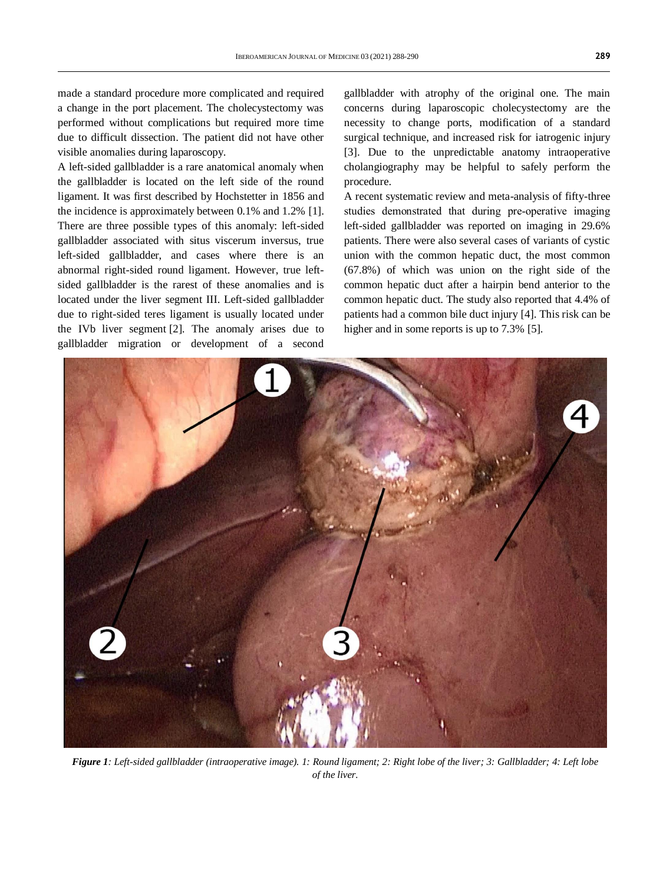made a standard procedure more complicated and required a change in the port placement. The cholecystectomy was performed without complications but required more time due to difficult dissection. The patient did not have other visible anomalies during laparoscopy.

A left-sided gallbladder is a rare anatomical anomaly when the gallbladder is located on the left side of the round ligament. It was first described by Hochstetter in 1856 and the incidence is approximately between 0.1% and 1.2% [1]. There are three possible types of this anomaly: left-sided gallbladder associated with situs viscerum inversus, true left-sided gallbladder, and cases where there is an abnormal right-sided round ligament. However, true leftsided gallbladder is the rarest of these anomalies and is located under the liver segment III. Left-sided gallbladder due to right-sided teres ligament is usually located under the IVb liver segment [2]. The anomaly arises due to gallbladder migration or development of a second

gallbladder with atrophy of the original one. The main concerns during laparoscopic cholecystectomy are the necessity to change ports, modification of a standard surgical technique, and increased risk for iatrogenic injury [3]. Due to the unpredictable anatomy intraoperative cholangiography may be helpful to safely perform the procedure.

A recent systematic review and meta-analysis of fifty-three studies demonstrated that during pre‐operative imaging left-sided gallbladder was reported on imaging in 29.6% patients. There were also several cases of variants of cystic union with the common hepatic duct, the most common (67.8%) of which was union on the right side of the common hepatic duct after a hairpin bend anterior to the common hepatic duct. The study also reported that 4.4% of patients had a common bile duct injury [4]. This risk can be higher and in some reports is up to 7.3% [5].



*Figure 1: Left-sided gallbladder (intraoperative image). 1: Round ligament; 2: Right lobe of the liver; 3: Gallbladder; 4: Left lobe of the liver.*